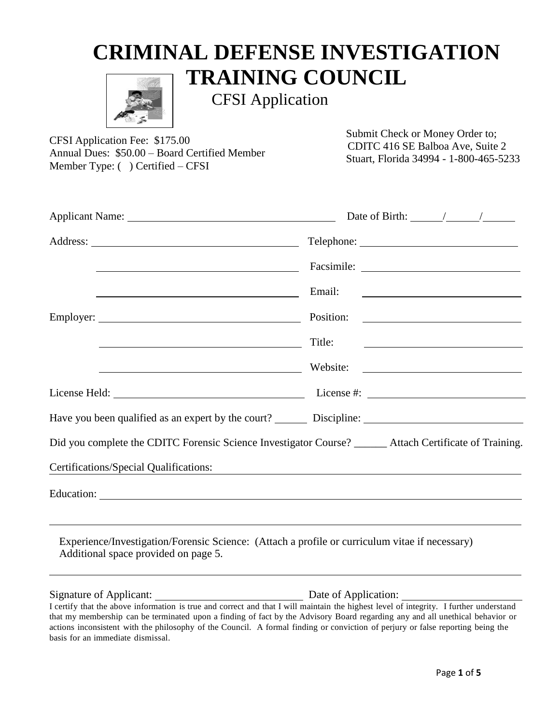# **CRIMINAL DEFENSE INVESTIGATION TRAINING COUNCIL**



CFSI Application

CFSI Application Fee: \$175.00 Annual Dues: \$50.00 – Board Certified Member Member Type: ( ) Certified – CFSI

Submit Check or Money Order to; CDITC 416 SE Balboa Ave, Suite 2 Stuart, Florida 34994 - 1-800-465-5233

| <u> Alexandria de la contrada de la contrada de la contrada de la contrada de la contrada de la contrada de la c</u>                                                                                                       |        |
|----------------------------------------------------------------------------------------------------------------------------------------------------------------------------------------------------------------------------|--------|
|                                                                                                                                                                                                                            |        |
|                                                                                                                                                                                                                            |        |
|                                                                                                                                                                                                                            | Title: |
|                                                                                                                                                                                                                            |        |
|                                                                                                                                                                                                                            |        |
|                                                                                                                                                                                                                            |        |
| Did you complete the CDITC Forensic Science Investigator Course? _____ Attach Certificate of Training.                                                                                                                     |        |
| <b>Certifications/Special Qualifications:</b>                                                                                                                                                                              |        |
|                                                                                                                                                                                                                            |        |
| ,我们也不会有什么。""我们的人,我们也不会有什么?""我们的人,我们也不会有什么?""我们的人,我们也不会有什么?""我们的人,我们也不会有什么?""我们的人<br>Experience/Investigation/Forensic Science: (Attach a profile or curriculum vitae if necessary)<br>Additional space provided on page 5. |        |
|                                                                                                                                                                                                                            |        |

I certify that the above information is true and correct and that I will maintain the highest level of integrity. I further understand that my membership can be terminated upon a finding of fact by the Advisory Board regarding any and all unethical behavior or actions inconsistent with the philosophy of the Council. A formal finding or conviction of perjury or false reporting being the basis for an immediate dismissal.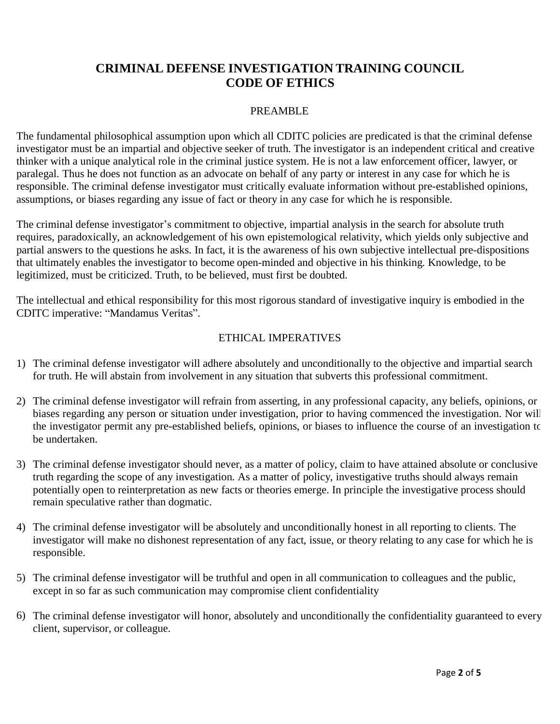## **CRIMINAL DEFENSE INVESTIGATION TRAINING COUNCIL CODE OF ETHICS**

#### PREAMBLE

The fundamental philosophical assumption upon which all CDITC policies are predicated is that the criminal defense investigator must be an impartial and objective seeker of truth. The investigator is an independent critical and creative thinker with a unique analytical role in the criminal justice system. He is not a law enforcement officer, lawyer, or paralegal. Thus he does not function as an advocate on behalf of any party or interest in any case for which he is responsible. The criminal defense investigator must critically evaluate information without pre-established opinions, assumptions, or biases regarding any issue of fact or theory in any case for which he is responsible.

The criminal defense investigator's commitment to objective, impartial analysis in the search for absolute truth requires, paradoxically, an acknowledgement of his own epistemological relativity, which yields only subjective and partial answers to the questions he asks. In fact, it is the awareness of his own subjective intellectual pre-dispositions that ultimately enables the investigator to become open-minded and objective in his thinking. Knowledge, to be legitimized, must be criticized. Truth, to be believed, must first be doubted.

The intellectual and ethical responsibility for this most rigorous standard of investigative inquiry is embodied in the CDITC imperative: "Mandamus Veritas".

### ETHICAL IMPERATIVES

- 1) The criminal defense investigator will adhere absolutely and unconditionally to the objective and impartial search for truth. He will abstain from involvement in any situation that subverts this professional commitment.
- 2) The criminal defense investigator will refrain from asserting, in any professional capacity, any beliefs, opinions, or biases regarding any person or situation under investigation, prior to having commenced the investigation. Nor will the investigator permit any pre-established beliefs, opinions, or biases to influence the course of an investigation to be undertaken.
- 3) The criminal defense investigator should never, as a matter of policy, claim to have attained absolute or conclusive truth regarding the scope of any investigation. As a matter of policy, investigative truths should always remain potentially open to reinterpretation as new facts or theories emerge. In principle the investigative process should remain speculative rather than dogmatic.
- 4) The criminal defense investigator will be absolutely and unconditionally honest in all reporting to clients. The investigator will make no dishonest representation of any fact, issue, or theory relating to any case for which he is responsible.
- 5) The criminal defense investigator will be truthful and open in all communication to colleagues and the public, except in so far as such communication may compromise client confidentiality
- 6) The criminal defense investigator will honor, absolutely and unconditionally the confidentiality guaranteed to every client, supervisor, or colleague.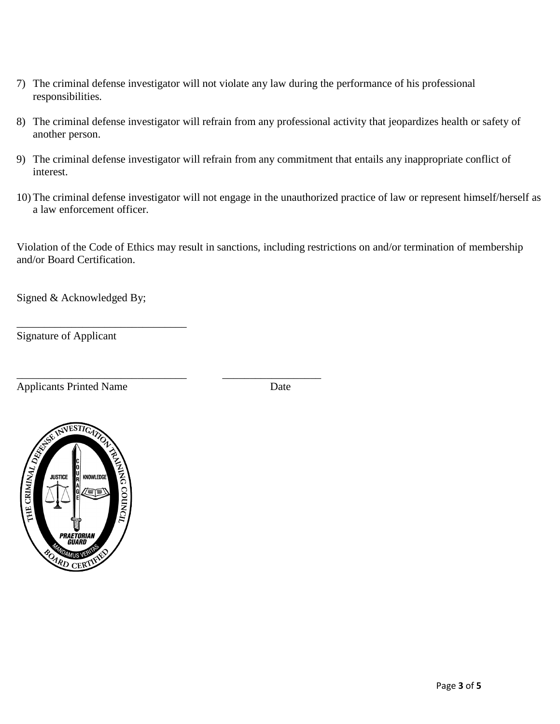- 7) The criminal defense investigator will not violate any law during the performance of his professional responsibilities.
- 8) The criminal defense investigator will refrain from any professional activity that jeopardizes health or safety of another person.
- 9) The criminal defense investigator will refrain from any commitment that entails any inappropriate conflict of interest.
- 10) The criminal defense investigator will not engage in the unauthorized practice of law or represent himself/herself as a law enforcement officer.

Violation of the Code of Ethics may result in sanctions, including restrictions on and/or termination of membership and/or Board Certification.

Signed & Acknowledged By;

\_\_\_\_\_\_\_\_\_\_\_\_\_\_\_\_\_\_\_\_\_\_\_\_\_\_\_\_\_\_\_

\_\_\_\_\_\_\_\_\_\_\_\_\_\_\_\_\_\_\_\_\_\_\_\_\_\_\_\_\_\_\_ \_\_\_\_\_\_\_\_\_\_\_\_\_\_\_\_\_\_

Signature of Applicant

Applicants Printed Name Date

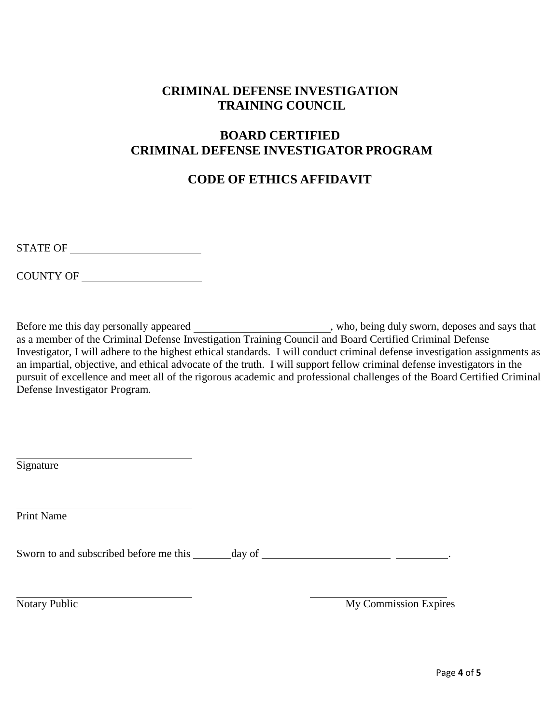## **CRIMINAL DEFENSE INVESTIGATION TRAINING COUNCIL**

## **BOARD CERTIFIED CRIMINAL DEFENSE INVESTIGATOR PROGRAM**

## **CODE OF ETHICS AFFIDAVIT**

COUNTY OF

Before me this day personally appeared , who, being duly sworn, deposes and says that as a member of the Criminal Defense Investigation Training Council and Board Certified Criminal Defense Investigator, I will adhere to the highest ethical standards. I will conduct criminal defense investigation assignments as an impartial, objective, and ethical advocate of the truth. I will support fellow criminal defense investigators in the pursuit of excellence and meet all of the rigorous academic and professional challenges of the Board Certified Criminal Defense Investigator Program.

**Signature** 

Print Name

Sworn to and subscribed before me this day of .

Notary Public My Commission Expires